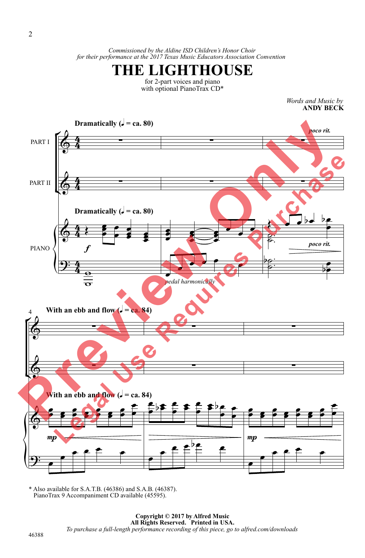*Commissioned by the Aldine ISD Children's Honor Choir for their performance at the 2017 Texas Music Educators Association Convention* 



for 2-part voices and piano with optional PianoTrax CD\*

> *Words and Music by* **ANDY BECK**



\* Also available for S.A.T.B. (46386) and S.A.B. (46387). PianoTrax 9 Accompaniment CD available (45595).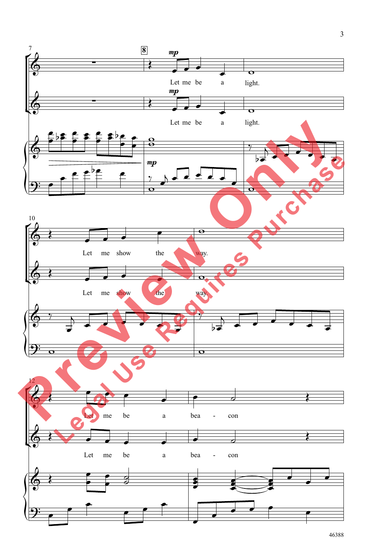

3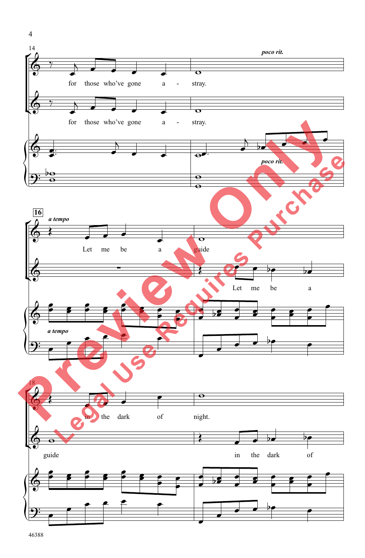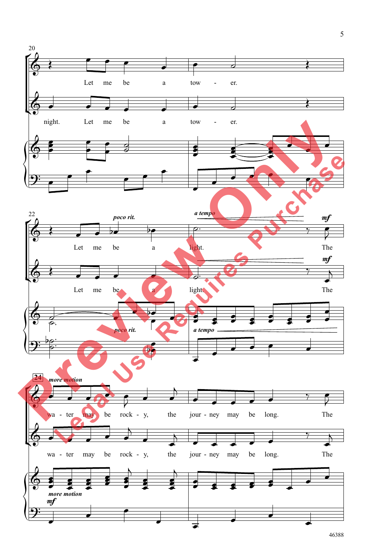

46388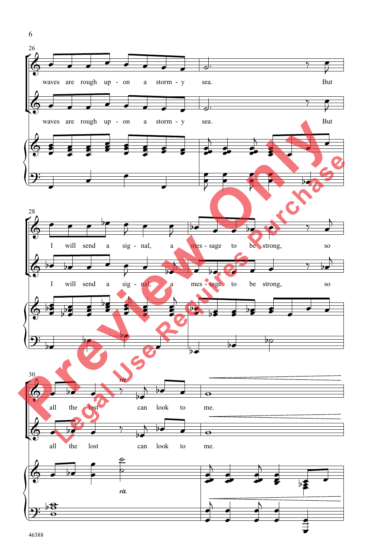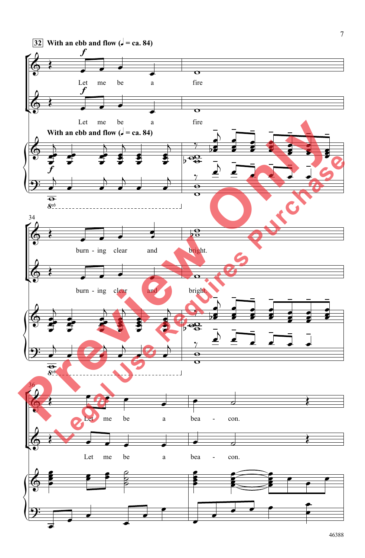

46388